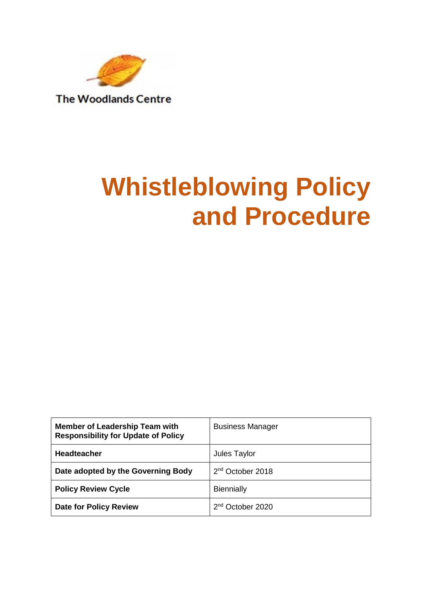

# **Whistleblowing Policy and Procedure**

| <b>Member of Leadership Team with</b><br><b>Responsibility for Update of Policy</b> | <b>Business Manager</b>      |  |
|-------------------------------------------------------------------------------------|------------------------------|--|
| <b>Headteacher</b>                                                                  | Jules Taylor                 |  |
| Date adopted by the Governing Body                                                  | 2 <sup>nd</sup> October 2018 |  |
| <b>Policy Review Cycle</b>                                                          | <b>Biennially</b>            |  |
| <b>Date for Policy Review</b>                                                       | 2 <sup>nd</sup> October 2020 |  |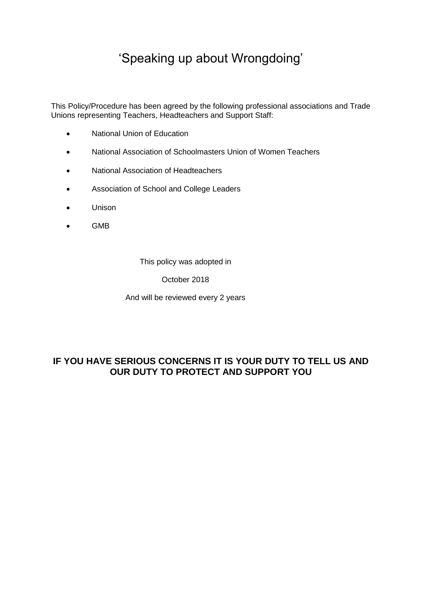# 'Speaking up about Wrongdoing'

This Policy/Procedure has been agreed by the following professional associations and Trade Unions representing Teachers, Headteachers and Support Staff:

- National Union of Education
- National Association of Schoolmasters Union of Women Teachers
- National Association of Headteachers
- Association of School and College Leaders
- Unison
- GMB

This policy was adopted in

October 2018

And will be reviewed every 2 years

# **IF YOU HAVE SERIOUS CONCERNS IT IS YOUR DUTY TO TELL US AND OUR DUTY TO PROTECT AND SUPPORT YOU**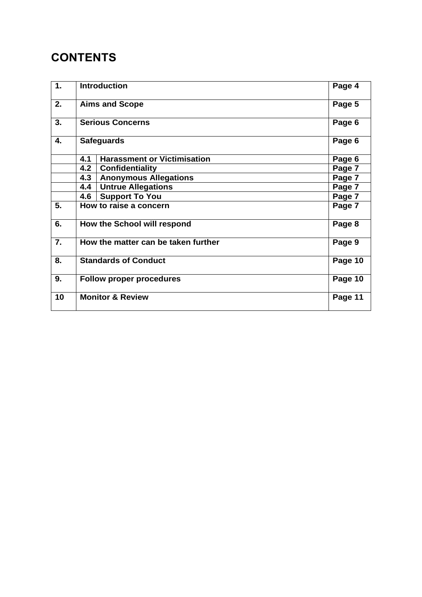# **CONTENTS**

| 1. | <b>Introduction</b>                 |                                    | Page 4  |
|----|-------------------------------------|------------------------------------|---------|
| 2. | <b>Aims and Scope</b>               |                                    | Page 5  |
| 3. | <b>Serious Concerns</b>             |                                    | Page 6  |
| 4. | <b>Safeguards</b>                   |                                    | Page 6  |
|    | 4.1                                 | <b>Harassment or Victimisation</b> | Page 6  |
|    | 4.2                                 | <b>Confidentiality</b>             | Page 7  |
|    | 4.3                                 | <b>Anonymous Allegations</b>       | Page 7  |
|    | 4.4                                 | <b>Untrue Allegations</b>          | Page 7  |
|    | 4.6                                 | <b>Support To You</b>              | Page 7  |
| 5. | How to raise a concern              |                                    | Page 7  |
| 6. | How the School will respond         |                                    | Page 8  |
| 7. | How the matter can be taken further |                                    | Page 9  |
| 8. | <b>Standards of Conduct</b>         |                                    | Page 10 |
| 9. | <b>Follow proper procedures</b>     |                                    | Page 10 |
| 10 | <b>Monitor &amp; Review</b>         |                                    | Page 11 |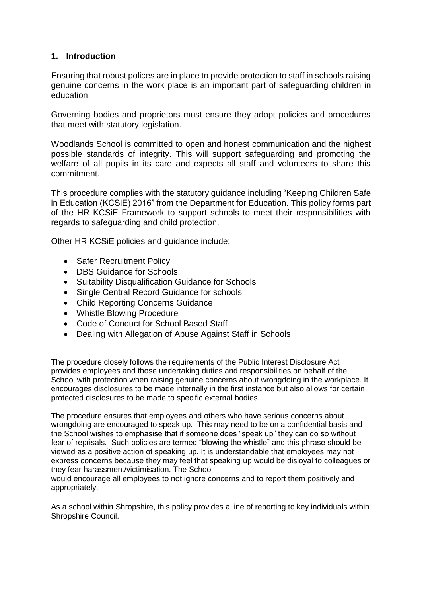# **1. Introduction**

Ensuring that robust polices are in place to provide protection to staff in schools raising genuine concerns in the work place is an important part of safeguarding children in education.

Governing bodies and proprietors must ensure they adopt policies and procedures that meet with statutory legislation.

Woodlands School is committed to open and honest communication and the highest possible standards of integrity. This will support safeguarding and promoting the welfare of all pupils in its care and expects all staff and volunteers to share this commitment.

This procedure complies with the statutory guidance including "Keeping Children Safe in Education (KCSiE) 2016" from the Department for Education. This policy forms part of the HR KCSiE Framework to support schools to meet their responsibilities with regards to safeguarding and child protection.

Other HR KCSiE policies and guidance include:

- Safer Recruitment Policy
- DBS Guidance for Schools
- Suitability Disqualification Guidance for Schools
- Single Central Record Guidance for schools
- Child Reporting Concerns Guidance
- Whistle Blowing Procedure
- Code of Conduct for School Based Staff
- Dealing with Allegation of Abuse Against Staff in Schools

The procedure closely follows the requirements of the Public Interest Disclosure Act provides employees and those undertaking duties and responsibilities on behalf of the School with protection when raising genuine concerns about wrongdoing in the workplace. It encourages disclosures to be made internally in the first instance but also allows for certain protected disclosures to be made to specific external bodies.

The procedure ensures that employees and others who have serious concerns about wrongdoing are encouraged to speak up. This may need to be on a confidential basis and the School wishes to emphasise that if someone does "speak up" they can do so without fear of reprisals. Such policies are termed "blowing the whistle" and this phrase should be viewed as a positive action of speaking up. It is understandable that employees may not express concerns because they may feel that speaking up would be disloyal to colleagues or they fear harassment/victimisation. The School

would encourage all employees to not ignore concerns and to report them positively and appropriately.

As a school within Shropshire, this policy provides a line of reporting to key individuals within Shropshire Council.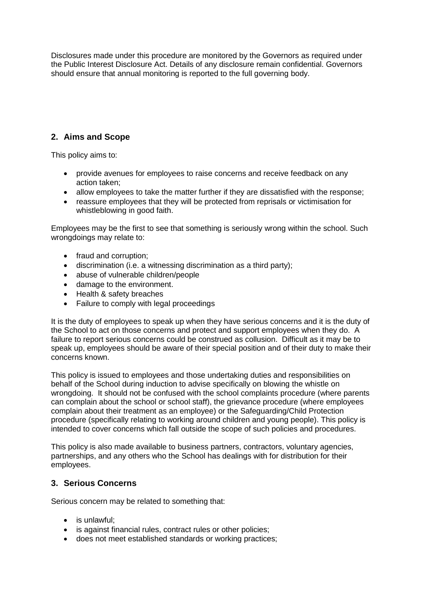Disclosures made under this procedure are monitored by the Governors as required under the Public Interest Disclosure Act. Details of any disclosure remain confidential. Governors should ensure that annual monitoring is reported to the full governing body.

# **2. Aims and Scope**

This policy aims to:

- provide avenues for employees to raise concerns and receive feedback on any action taken;
- allow employees to take the matter further if they are dissatisfied with the response;
- reassure employees that they will be protected from reprisals or victimisation for whistleblowing in good faith.

Employees may be the first to see that something is seriously wrong within the school. Such wrongdoings may relate to:

- fraud and corruption:
- discrimination (i.e. a witnessing discrimination as a third party);
- abuse of vulnerable children/people
- damage to the environment.
- Health & safety breaches
- Failure to comply with legal proceedings

It is the duty of employees to speak up when they have serious concerns and it is the duty of the School to act on those concerns and protect and support employees when they do. A failure to report serious concerns could be construed as collusion. Difficult as it may be to speak up, employees should be aware of their special position and of their duty to make their concerns known.

This policy is issued to employees and those undertaking duties and responsibilities on behalf of the School during induction to advise specifically on blowing the whistle on wrongdoing. It should not be confused with the school complaints procedure (where parents can complain about the school or school staff), the grievance procedure (where employees complain about their treatment as an employee) or the Safeguarding/Child Protection procedure (specifically relating to working around children and young people). This policy is intended to cover concerns which fall outside the scope of such policies and procedures.

This policy is also made available to business partners, contractors, voluntary agencies, partnerships, and any others who the School has dealings with for distribution for their employees.

# **3. Serious Concerns**

Serious concern may be related to something that:

- is unlawful:
- is against financial rules, contract rules or other policies;
- does not meet established standards or working practices;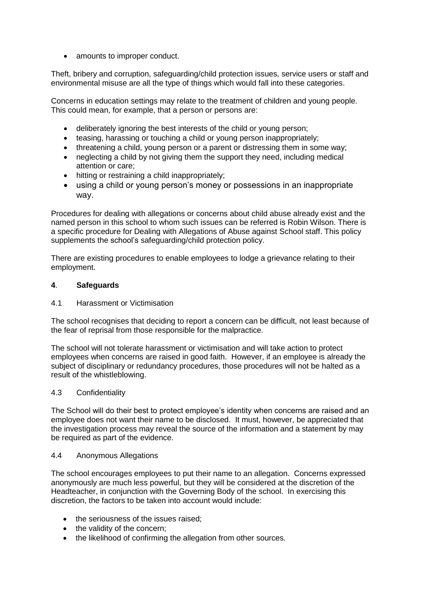• amounts to improper conduct.

Theft, bribery and corruption, safeguarding/child protection issues, service users or staff and environmental misuse are all the type of things which would fall into these categories.

Concerns in education settings may relate to the treatment of children and young people. This could mean, for example, that a person or persons are:

- deliberately ignoring the best interests of the child or young person;
- teasing, harassing or touching a child or young person inappropriately;
- threatening a child, young person or a parent or distressing them in some way;
- neglecting a child by not giving them the support they need, including medical attention or care;
- hitting or restraining a child inappropriately;
- using a child or young person's money or possessions in an inappropriate way.

Procedures for dealing with allegations or concerns about child abuse already exist and the named person in this school to whom such issues can be referred is Robin Wilson. There is a specific procedure for Dealing with Allegations of Abuse against School staff. This policy supplements the school's safeguarding/child protection policy.

There are existing procedures to enable employees to lodge a grievance relating to their employment.

#### **4**. **Safeguards**

4.1 Harassment or Victimisation

The school recognises that deciding to report a concern can be difficult, not least because of the fear of reprisal from those responsible for the malpractice.

The school will not tolerate harassment or victimisation and will take action to protect employees when concerns are raised in good faith. However, if an employee is already the subject of disciplinary or redundancy procedures, those procedures will not be halted as a result of the whistleblowing.

#### 4.3 Confidentiality

The School will do their best to protect employee's identity when concerns are raised and an employee does not want their name to be disclosed. It must, however, be appreciated that the investigation process may reveal the source of the information and a statement by may be required as part of the evidence.

#### 4.4 Anonymous Allegations

The school encourages employees to put their name to an allegation. Concerns expressed anonymously are much less powerful, but they will be considered at the discretion of the Headteacher, in conjunction with the Governing Body of the school. In exercising this discretion, the factors to be taken into account would include:

- the seriousness of the issues raised:
- the validity of the concern;
- the likelihood of confirming the allegation from other sources.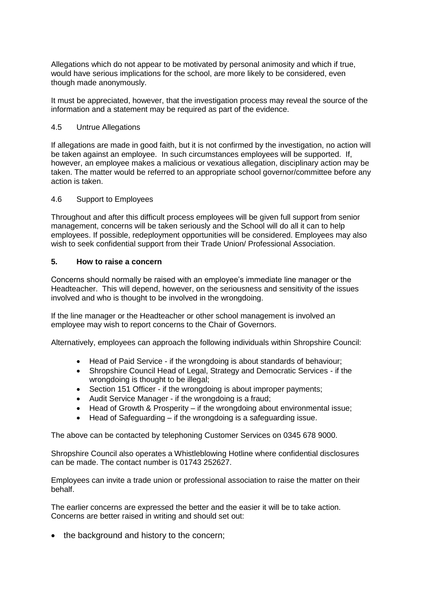Allegations which do not appear to be motivated by personal animosity and which if true, would have serious implications for the school, are more likely to be considered, even though made anonymously.

It must be appreciated, however, that the investigation process may reveal the source of the information and a statement may be required as part of the evidence.

#### 4.5 Untrue Allegations

If allegations are made in good faith, but it is not confirmed by the investigation, no action will be taken against an employee. In such circumstances employees will be supported. If, however, an employee makes a malicious or vexatious allegation, disciplinary action may be taken. The matter would be referred to an appropriate school governor/committee before any action is taken.

#### 4.6 Support to Employees

Throughout and after this difficult process employees will be given full support from senior management, concerns will be taken seriously and the School will do all it can to help employees. If possible, redeployment opportunities will be considered. Employees may also wish to seek confidential support from their Trade Union/ Professional Association.

#### **5. How to raise a concern**

Concerns should normally be raised with an employee's immediate line manager or the Headteacher. This will depend, however, on the seriousness and sensitivity of the issues involved and who is thought to be involved in the wrongdoing.

If the line manager or the Headteacher or other school management is involved an employee may wish to report concerns to the Chair of Governors.

Alternatively, employees can approach the following individuals within Shropshire Council:

- Head of Paid Service if the wrongdoing is about standards of behaviour;
- Shropshire Council Head of Legal, Strategy and Democratic Services if the wrongdoing is thought to be illegal;
- Section 151 Officer if the wrongdoing is about improper payments;
- Audit Service Manager if the wrongdoing is a fraud;
- Head of Growth & Prosperity if the wrongdoing about environmental issue;
- Head of Safeguarding if the wrongdoing is a safeguarding issue.

The above can be contacted by telephoning Customer Services on 0345 678 9000.

Shropshire Council also operates a Whistleblowing Hotline where confidential disclosures can be made. The contact number is 01743 252627.

Employees can invite a trade union or professional association to raise the matter on their behalf.

The earlier concerns are expressed the better and the easier it will be to take action. Concerns are better raised in writing and should set out:

• the background and history to the concern;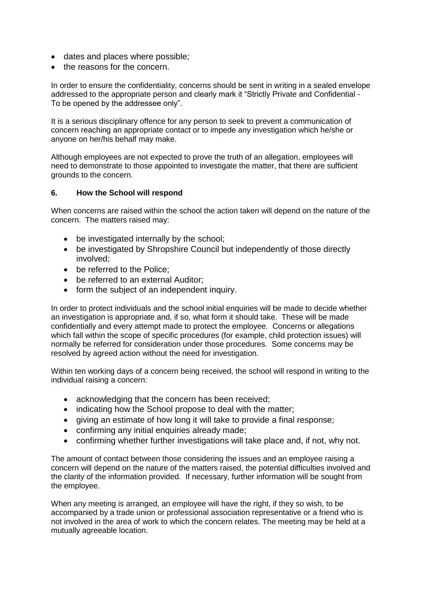- dates and places where possible;
- the reasons for the concern.

In order to ensure the confidentiality, concerns should be sent in writing in a sealed envelope addressed to the appropriate person and clearly mark it "Strictly Private and Confidential - To be opened by the addressee only".

It is a serious disciplinary offence for any person to seek to prevent a communication of concern reaching an appropriate contact or to impede any investigation which he/she or anyone on her/his behalf may make.

Although employees are not expected to prove the truth of an allegation, employees will need to demonstrate to those appointed to investigate the matter, that there are sufficient grounds to the concern.

#### **6. How the School will respond**

When concerns are raised within the school the action taken will depend on the nature of the concern. The matters raised may:

- be investigated internally by the school;
- be investigated by Shropshire Council but independently of those directly involved;
- be referred to the Police:
- be referred to an external Auditor;
- form the subject of an independent inquiry.

In order to protect individuals and the school initial enquiries will be made to decide whether an investigation is appropriate and, if so, what form it should take. These will be made confidentially and every attempt made to protect the employee. Concerns or allegations which fall within the scope of specific procedures (for example, child protection issues) will normally be referred for consideration under those procedures. Some concerns may be resolved by agreed action without the need for investigation.

Within ten working days of a concern being received, the school will respond in writing to the individual raising a concern:

- acknowledging that the concern has been received;
- indicating how the School propose to deal with the matter;
- giving an estimate of how long it will take to provide a final response;
- confirming any initial enquiries already made;
- confirming whether further investigations will take place and, if not, why not.

The amount of contact between those considering the issues and an employee raising a concern will depend on the nature of the matters raised, the potential difficulties involved and the clarity of the information provided. If necessary, further information will be sought from the employee.

When any meeting is arranged, an employee will have the right, if they so wish, to be accompanied by a trade union or professional association representative or a friend who is not involved in the area of work to which the concern relates. The meeting may be held at a mutually agreeable location.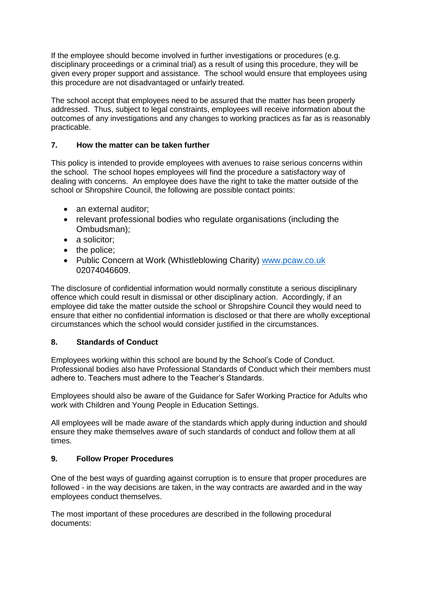If the employee should become involved in further investigations or procedures (e.g. disciplinary proceedings or a criminal trial) as a result of using this procedure, they will be given every proper support and assistance. The school would ensure that employees using this procedure are not disadvantaged or unfairly treated.

The school accept that employees need to be assured that the matter has been properly addressed. Thus, subject to legal constraints, employees will receive information about the outcomes of any investigations and any changes to working practices as far as is reasonably practicable.

## **7. How the matter can be taken further**

This policy is intended to provide employees with avenues to raise serious concerns within the school. The school hopes employees will find the procedure a satisfactory way of dealing with concerns. An employee does have the right to take the matter outside of the school or Shropshire Council, the following are possible contact points:

- an external auditor:
- relevant professional bodies who regulate organisations (including the Ombudsman);
- a solicitor;
- the police;
- Public Concern at Work (Whistleblowing Charity) [www.pcaw.co.uk](http://www.pcaw.co.uk/) 02074046609.

The disclosure of confidential information would normally constitute a serious disciplinary offence which could result in dismissal or other disciplinary action. Accordingly, if an employee did take the matter outside the school or Shropshire Council they would need to ensure that either no confidential information is disclosed or that there are wholly exceptional circumstances which the school would consider justified in the circumstances.

## **8. Standards of Conduct**

Employees working within this school are bound by the School's Code of Conduct. Professional bodies also have Professional Standards of Conduct which their members must adhere to. Teachers must adhere to the Teacher's Standards.

Employees should also be aware of the Guidance for Safer Working Practice for Adults who work with Children and Young People in Education Settings.

All employees will be made aware of the standards which apply during induction and should ensure they make themselves aware of such standards of conduct and follow them at all times.

## **9. Follow Proper Procedures**

One of the best ways of guarding against corruption is to ensure that proper procedures are followed - in the way decisions are taken, in the way contracts are awarded and in the way employees conduct themselves.

The most important of these procedures are described in the following procedural documents: